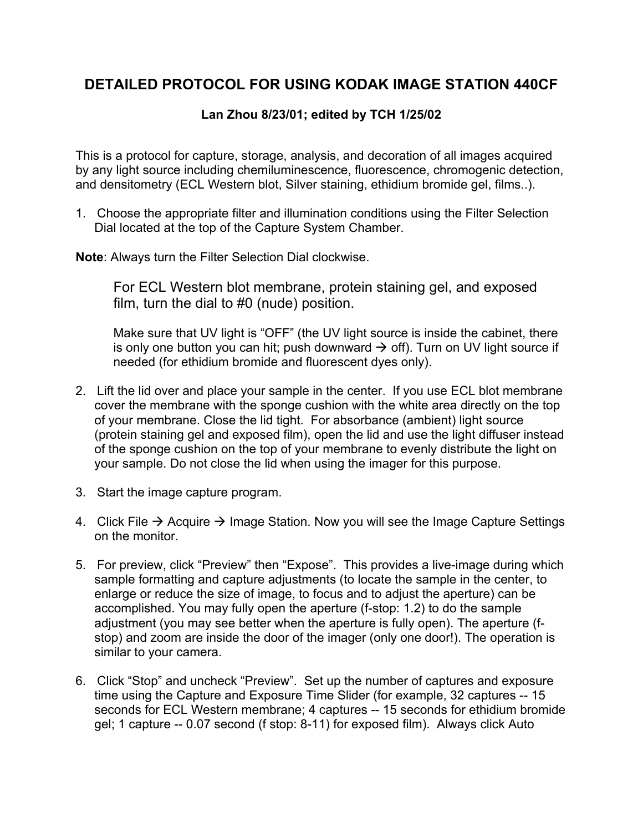## **DETAILED PROTOCOL FOR USING KODAK IMAGE STATION 440CF**

## **Lan Zhou 8/23/01; edited by TCH 1/25/02**

This is a protocol for capture, storage, analysis, and decoration of all images acquired by any light source including chemiluminescence, fluorescence, chromogenic detection, and densitometry (ECL Western blot, Silver staining, ethidium bromide gel, films..).

1. Choose the appropriate filter and illumination conditions using the Filter Selection Dial located at the top of the Capture System Chamber.

**Note**: Always turn the Filter Selection Dial clockwise.

For ECL Western blot membrane, protein staining gel, and exposed film, turn the dial to #0 (nude) position.

Make sure that UV light is "OFF" (the UV light source is inside the cabinet, there is only one button you can hit; push downward  $\rightarrow$  off). Turn on UV light source if needed (for ethidium bromide and fluorescent dyes only).

- 2. Lift the lid over and place your sample in the center. If you use ECL blot membrane cover the membrane with the sponge cushion with the white area directly on the top of your membrane. Close the lid tight. For absorbance (ambient) light source (protein staining gel and exposed film), open the lid and use the light diffuser instead of the sponge cushion on the top of your membrane to evenly distribute the light on your sample. Do not close the lid when using the imager for this purpose.
- 3. Start the image capture program.
- 4. Click File  $\rightarrow$  Acquire  $\rightarrow$  Image Station. Now you will see the Image Capture Settings on the monitor.
- 5. For preview, click "Preview" then "Expose". This provides a live-image during which sample formatting and capture adjustments (to locate the sample in the center, to enlarge or reduce the size of image, to focus and to adjust the aperture) can be accomplished. You may fully open the aperture (f-stop: 1.2) to do the sample adjustment (you may see better when the aperture is fully open). The aperture (fstop) and zoom are inside the door of the imager (only one door!). The operation is similar to your camera.
- 6. Click "Stop" and uncheck "Preview". Set up the number of captures and exposure time using the Capture and Exposure Time Slider (for example, 32 captures -- 15 seconds for ECL Western membrane; 4 captures -- 15 seconds for ethidium bromide gel; 1 capture -- 0.07 second (f stop: 8-11) for exposed film). Always click Auto